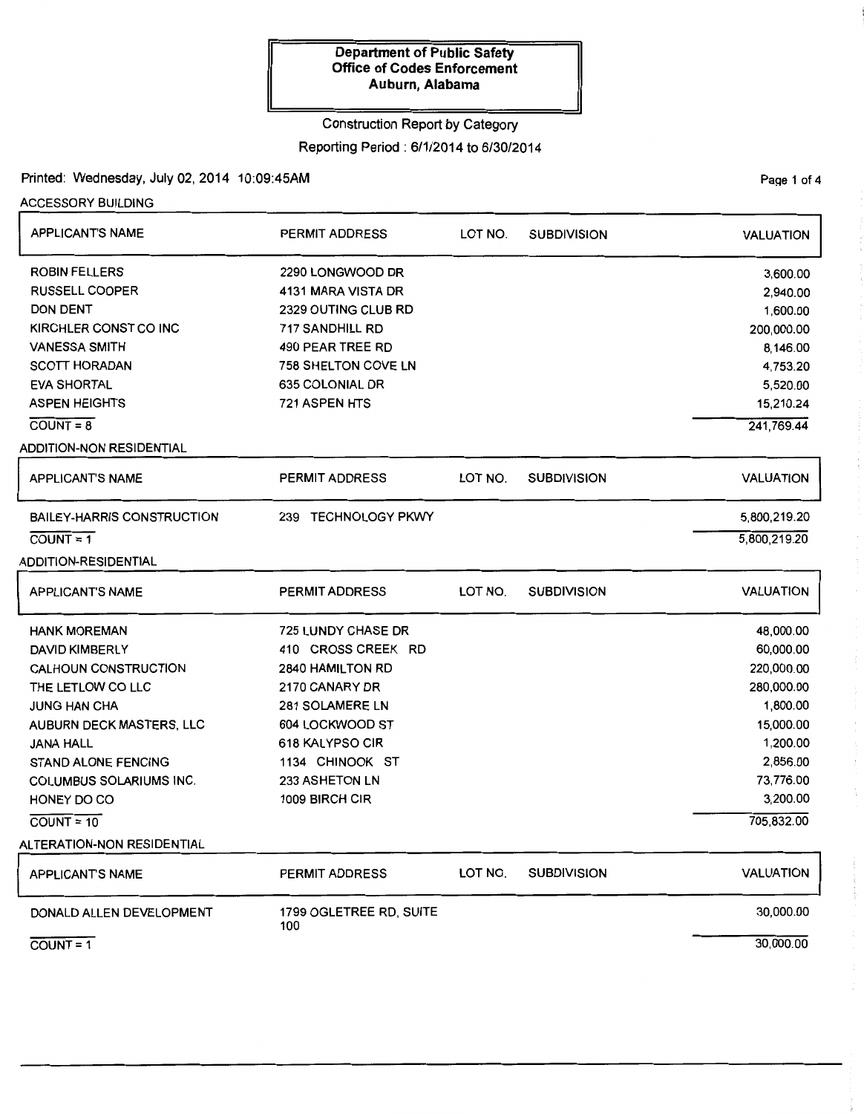### Construction Report by Category

#### Reporting Period : 6/1/2014 to 6/30/2014

# Printed: Wednesday, July 02, 2014 10:09:45AM

ACCESSORY BUILDING

| <b>APPLICANT'S NAME</b>           | <b>PERMIT ADDRESS</b>          | LOT NO. | <b>SUBDIVISION</b> | <b>VALUATION</b> |  |
|-----------------------------------|--------------------------------|---------|--------------------|------------------|--|
| <b>ROBIN FELLERS</b>              | 2290 LONGWOOD DR               |         |                    | 3,600.00         |  |
| <b>RUSSELL COOPER</b>             | 4131 MARA VISTA DR             |         |                    | 2,940.00         |  |
| <b>DON DENT</b>                   | 2329 OUTING CLUB RD            |         |                    | 1,600.00         |  |
| KIRCHLER CONST CO INC             | 717 SANDHILL RD                |         |                    | 200,000.00       |  |
| <b>VANESSA SMITH</b>              | 490 PEAR TREE RD               |         |                    | 8,146.00         |  |
| <b>SCOTT HORADAN</b>              | <b>758 SHELTON COVE LN</b>     |         |                    | 4,753.20         |  |
| <b>EVA SHORTAL</b>                | 635 COLONIAL DR                |         |                    | 5,520.00         |  |
| <b>ASPEN HEIGHTS</b>              | 721 ASPEN HTS                  |         |                    | 15,210.24        |  |
| $COUNT = 8$                       |                                |         |                    | 241,769.44       |  |
| <b>ADDITION-NON RESIDENTIAL</b>   |                                |         |                    |                  |  |
| <b>APPLICANT'S NAME</b>           | <b>PERMIT ADDRESS</b>          | LOT NO. | <b>SUBDIVISION</b> | <b>VALUATION</b> |  |
| <b>BAILEY-HARRIS CONSTRUCTION</b> | 239 TECHNOLOGY PKWY            |         |                    | 5,800,219.20     |  |
| $\overline{COUNT} = 1$            |                                |         |                    | 5,800,219.20     |  |
| <b>ADDITION-RESIDENTIAL</b>       |                                |         |                    |                  |  |
| <b>APPLICANT'S NAME</b>           | <b>PERMIT ADDRESS</b>          | LOT NO. | <b>SUBDIVISION</b> | <b>VALUATION</b> |  |
| <b>HANK MOREMAN</b>               | <b>725 LUNDY CHASE DR</b>      |         |                    | 48,000.00        |  |
| <b>DAVID KIMBERLY</b>             | 410 CROSS CREEK RD             |         |                    | 60,000.00        |  |
| CALHOUN CONSTRUCTION              | <b>2840 HAMILTON RD</b>        |         |                    | 220,000.00       |  |
| THE LETLOW CO LLC                 | 2170 CANARY DR                 |         |                    | 280,000.00       |  |
| <b>JUNG HAN CHA</b>               | 281 SOLAMERE LN                |         |                    | 1,800.00         |  |
| AUBURN DECK MASTERS, LLC          | 604 LOCKWOOD ST                |         |                    | 15,000.00        |  |
| <b>JANA HALL</b>                  | 618 KALYPSO CIR                |         |                    | 1,200.00         |  |
| <b>STAND ALONE FENCING</b>        | 1134 CHINOOK ST                |         |                    | 2,856.00         |  |
| <b>COLUMBUS SOLARIUMS INC.</b>    | 233 ASHETON LN                 |         |                    | 73,776.00        |  |
| HONEY DO CO                       | 1009 BIRCH CIR                 |         |                    | 3,200.00         |  |
| $COUNT = 10$                      |                                |         |                    | 705,832.00       |  |
| ALTERATION-NON RESIDENTIAL        |                                |         |                    |                  |  |
| <b>APPLICANT'S NAME</b>           | <b>PERMIT ADDRESS</b>          | LOT NO. | <b>SUBDIVISION</b> | <b>VALUATION</b> |  |
| DONALD ALLEN DEVELOPMENT          | 1799 OGLETREE RD, SUITE<br>100 |         |                    | 30,000.00        |  |
| $COUNT = 1$                       |                                |         |                    | 30,000.00        |  |

÷

 $\frac{1}{2}$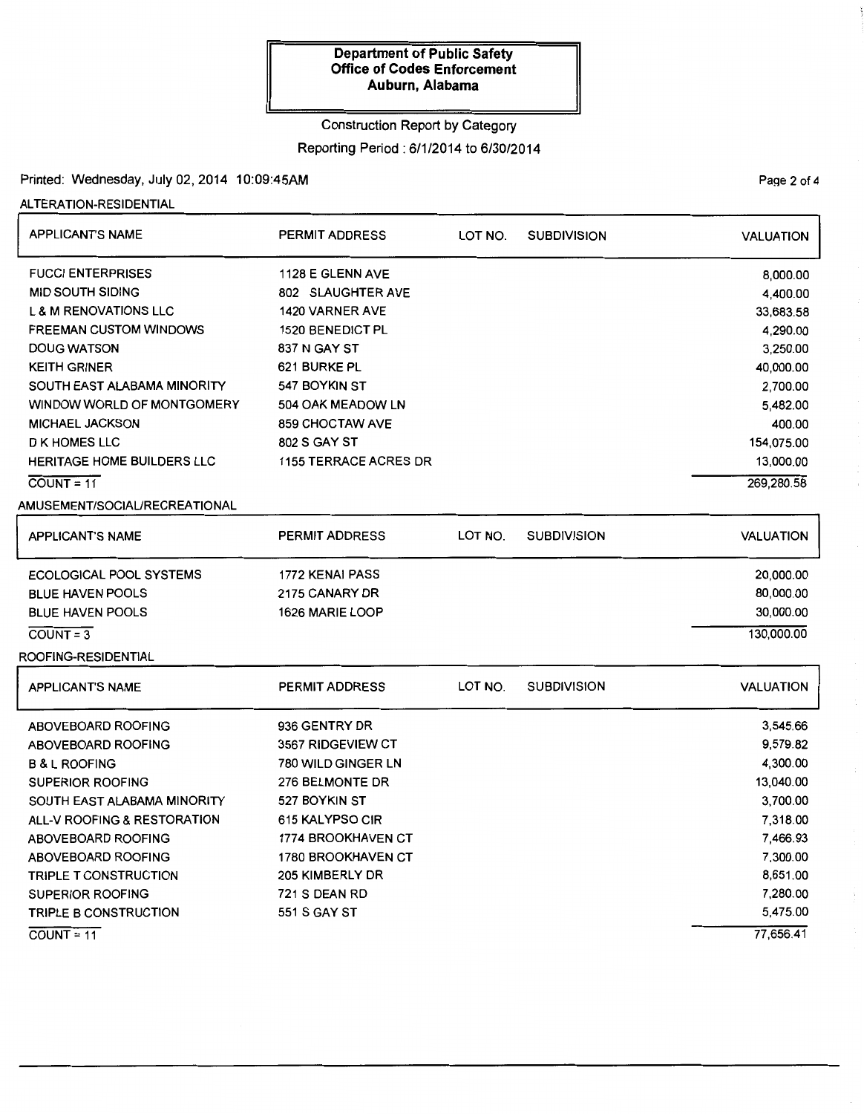# Construction Report by Category Reporting Period: 6/1/2014 to 6/30/2014

# Printed: Wednesday, July 02, 2014 10:09:45AM

#### ALTERATION-RESIDENTIAL

| <b>APPLICANT'S NAME</b>                | <b>PERMIT ADDRESS</b>        | LOT NO. | <b>SUBDIVISION</b> | <b>VALUATION</b> |
|----------------------------------------|------------------------------|---------|--------------------|------------------|
| <b>FUCCI ENTERPRISES</b>               | 1128 E GLENN AVE             |         |                    | 8,000.00         |
| <b>MID SOUTH SIDING</b>                | 802 SLAUGHTER AVE            |         |                    | 4,400.00         |
| <b>L &amp; M RENOVATIONS LLC</b>       | 1420 VARNER AVE              |         |                    | 33,683.58        |
| <b>FREEMAN CUSTOM WINDOWS</b>          | <b>1520 BENEDICT PL</b>      |         |                    | 4,290.00         |
| <b>DOUG WATSON</b>                     | 837 N GAY ST                 |         |                    | 3,250.00         |
| <b>KEITH GRINER</b>                    | 621 BURKE PL                 |         |                    | 40,000.00        |
| SOUTH EAST ALABAMA MINORITY            | 547 BOYKIN ST                |         |                    | 2,700.00         |
| WINDOW WORLD OF MONTGOMERY             | 504 OAK MEADOW LN            |         |                    | 5,482.00         |
| MICHAEL JACKSON                        | 859 CHOCTAW AVE              |         |                    | 400.00           |
| <b>D K HOMES LLC</b>                   | 802 S GAY ST                 |         |                    | 154,075.00       |
| HERITAGE HOME BUILDERS LLC             | <b>1155 TERRACE ACRES DR</b> |         |                    | 13,000.00        |
| $COUNT = 11$                           |                              |         |                    | 269,280.58       |
| AMUSEMENT/SOCIAL/RECREATIONAL          |                              |         |                    |                  |
| <b>APPLICANT'S NAME</b>                | <b>PERMIT ADDRESS</b>        | LOT NO. | <b>SUBDIVISION</b> | <b>VALUATION</b> |
| <b>ECOLOGICAL POOL SYSTEMS</b>         | 1772 KENAI PASS              |         |                    | 20,000.00        |
| <b>BLUE HAVEN POOLS</b>                | 2175 CANARY DR               |         |                    | 80,000.00        |
| <b>BLUE HAVEN POOLS</b>                | 1626 MARIE LOOP              |         |                    | 30,000.00        |
| $COUNT = 3$                            |                              |         |                    | 130,000.00       |
| ROOFING-RESIDENTIAL                    |                              |         |                    |                  |
| <b>APPLICANT'S NAME</b>                | <b>PERMIT ADDRESS</b>        | LOT NO. | <b>SUBDIVISION</b> | <b>VALUATION</b> |
| <b>ABOVEBOARD ROOFING</b>              | 936 GENTRY DR                |         |                    | 3,545.66         |
| <b>ABOVEBOARD ROOFING</b>              | 3567 RIDGEVIEW CT            |         |                    | 9,579.82         |
| <b>B &amp; L ROOFING</b>               | 780 WILD GINGER LN           |         |                    | 4,300.00         |
| <b>SUPERIOR ROOFING</b>                | 276 BELMONTE DR              |         |                    | 13,040.00        |
| SOUTH EAST ALABAMA MINORITY            | 527 BOYKIN ST                |         |                    | 3,700.00         |
| <b>ALL-V ROOFING &amp; RESTORATION</b> | 615 KALYPSO CIR              |         |                    | 7,318.00         |
| ABOVEBOARD ROOFING                     | 1774 BROOKHAVEN CT           |         |                    | 7,466.93         |
| <b>ABOVEBOARD ROOFING</b>              | 1780 BROOKHAVEN CT           |         |                    | 7,300.00         |
| <b>TRIPLE T CONSTRUCTION</b>           | 205 KIMBERLY DR              |         |                    | 8,651.00         |
| <b>SUPERIOR ROOFING</b>                | 721 S DEAN RD                |         |                    | 7,280.00         |
| TRIPLE B CONSTRUCTION                  | 551 S GAY ST                 |         |                    | 5,475.00         |
| $COUNT = 11$                           |                              |         |                    | 77,656.41        |

Page 2 of 4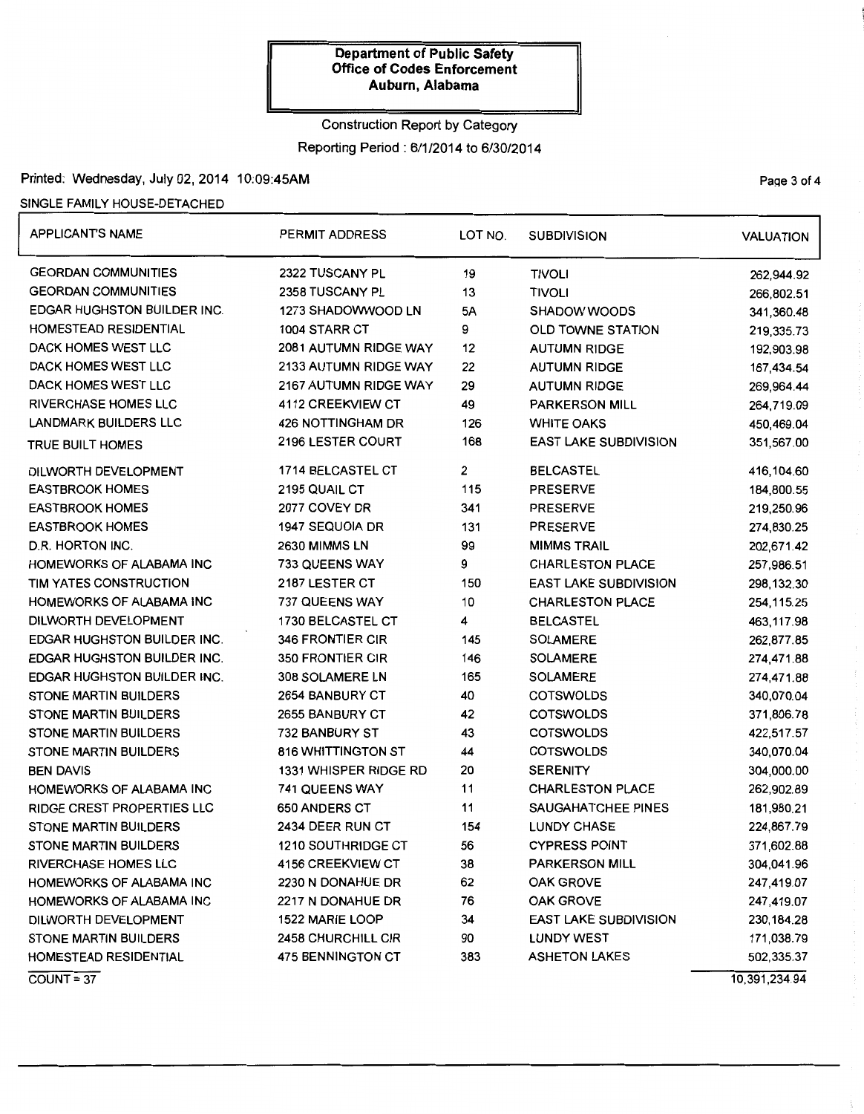# Construction Report by Category Reporting Period: 6/1/2014 to 6/30/2014

# Printed: Wednesday, July 02, 2014 10:09:45AM Page 3 of 4

#### SINGLE FAMILY HOUSE-DETACHED

| APPLICANT'S NAME                   | PERMIT ADDRESS            | LOT NO.                   | <b>SUBDIVISION</b>           | <b>VALUATION</b> |
|------------------------------------|---------------------------|---------------------------|------------------------------|------------------|
| <b>GEORDAN COMMUNITIES</b>         | 2322 TUSCANY PL           | 19                        | <b>TIVOLI</b>                | 262,944.92       |
| <b>GEORDAN COMMUNITIES</b>         | 2358 TUSCANY PL           | 13                        | <b>TIVOLI</b>                | 266,802.51       |
| <b>EDGAR HUGHSTON BUILDER INC.</b> | 1273 SHADOWWOOD LN        | 5A<br><b>SHADOW WOODS</b> |                              | 341,360.48       |
| HOMESTEAD RESIDENTIAL              | 1004 STARR CT             | 9                         | <b>OLD TOWNE STATION</b>     | 219,335.73       |
| DACK HOMES WEST LLC                | 2081 AUTUMN RIDGE WAY     | 12                        | <b>AUTUMN RIDGE</b>          | 192,903.98       |
| DACK HOMES WEST LLC                | 2133 AUTUMN RIDGE WAY     | 22                        | <b>AUTUMN RIDGE</b>          | 167,434.54       |
| DACK HOMES WEST LLC                | 2167 AUTUMN RIDGE WAY     | 29                        | <b>AUTUMN RIDGE</b>          | 269,964.44       |
| <b>RIVERCHASE HOMES LLC</b>        | 4112 CREEKVIEW CT         | 49                        | PARKERSON MILL               | 264,719.09       |
| <b>LANDMARK BUILDERS LLC</b>       | 426 NOTTINGHAM DR         | 126                       | <b>WHITE OAKS</b>            | 450,469.04       |
| TRUE BUILT HOMES                   | 2196 LESTER COURT         | 168                       | <b>EAST LAKE SUBDIVISION</b> | 351,567.00       |
| DILWORTH DEVELOPMENT               | 1714 BELCASTEL CT         | $\overline{2}$            | <b>BELCASTEL</b>             | 416,104.60       |
| <b>EASTBROOK HOMES</b>             | 2195 QUAIL CT             | 115                       | <b>PRESERVE</b>              | 184,800.55       |
| <b>EASTBROOK HOMES</b>             | 2077 COVEY DR             | 341                       | <b>PRESERVE</b>              | 219,250.96       |
| <b>EASTBROOK HOMES</b>             | 1947 SEQUOIA DR           | 131                       | <b>PRESERVE</b>              | 274,830.25       |
| D.R. HORTON INC.                   | 2630 MIMMS LN             | 99                        | <b>MIMMS TRAIL</b>           | 202,671.42       |
| HOMEWORKS OF ALABAMA INC           | 733 QUEENS WAY            | 9                         | <b>CHARLESTON PLACE</b>      | 257,986.51       |
| TIM YATES CONSTRUCTION             | 2187 LESTER CT            | 150                       | <b>EAST LAKE SUBDIVISION</b> | 298,132.30       |
| HOMEWORKS OF ALABAMA INC           | 737 QUEENS WAY            | 10                        | <b>CHARLESTON PLACE</b>      | 254, 115. 25     |
| DILWORTH DEVELOPMENT               | 1730 BELCASTEL CT         | 4                         | <b>BELCASTEL</b>             | 463,117.98       |
| <b>EDGAR HUGHSTON BUILDER INC.</b> | <b>346 FRONTIER CIR</b>   | 145                       | <b>SOLAMERE</b>              | 262,877.85       |
| EDGAR HUGHSTON BUILDER INC.        | <b>350 FRONTIER CIR</b>   | 146                       | <b>SOLAMERE</b>              | 274,471.88       |
| EDGAR HUGHSTON BUILDER INC.        | 308 SOLAMERE LN           | 165                       | <b>SOLAMERE</b>              | 274,471.88       |
| <b>STONE MARTIN BUILDERS</b>       | 2654 BANBURY CT           | 40                        | <b>COTSWOLDS</b>             | 340,070.04       |
| <b>STONE MARTIN BUILDERS</b>       | 2655 BANBURY CT           | 42<br><b>COTSWOLDS</b>    |                              | 371,806.78       |
| <b>STONE MARTIN BUILDERS</b>       | 732 BANBURY ST            | 43                        | <b>COTSWOLDS</b>             | 422,517.57       |
| STONE MARTIN BUILDERS              | <b>816 WHITTINGTON ST</b> | 44                        | <b>COTSWOLDS</b>             | 340,070.04       |
| <b>BEN DAVIS</b>                   | 1331 WHISPER RIDGE RD     | 20                        | <b>SERENITY</b>              | 304,000.00       |
| HOMEWORKS OF ALABAMA INC           | 741 QUEENS WAY            | 11                        | <b>CHARLESTON PLACE</b>      | 262,902.89       |
| <b>RIDGE CREST PROPERTIES LLC</b>  | <b>650 ANDERS CT</b>      | 11                        | SAUGAHATCHEE PINES           | 181,980.21       |
| <b>STONE MARTIN BUILDERS</b>       | 2434 DEER RUN CT          | 154                       | <b>LUNDY CHASE</b>           | 224,867.79       |
| <b>STONE MARTIN BUILDERS</b>       | 1210 SOUTHRIDGE CT        | 56                        | <b>CYPRESS POINT</b>         | 371,602.88       |
| <b>RIVERCHASE HOMES LLC</b>        | <b>4156 CREEKVIEW CT</b>  | 38                        | <b>PARKERSON MILL</b>        | 304,041.96       |
| HOMEWORKS OF ALABAMA INC           | 2230 N DONAHUE DR         | 62                        | <b>OAK GROVE</b>             | 247,419.07       |
| HOMEWORKS OF ALABAMA INC           | 2217 N DONAHUE DR         | 76                        | <b>OAK GROVE</b>             | 247,419.07       |
| DILWORTH DEVELOPMENT               | 1522 MARIE LOOP           | 34                        | <b>EAST LAKE SUBDIVISION</b> | 230, 184. 28     |
| STONE MARTIN BUILDERS              | 2458 CHURCHILL CIR        | 90                        | <b>LUNDY WEST</b>            | 171,038.79       |
| HOMESTEAD RESIDENTIAL              | 475 BENNINGTON CT         | 383                       | <b>ASHETON LAKES</b>         | 502,335.37       |
| $\overline{COUNT} = 37$            |                           |                           |                              | 10,391,234.94    |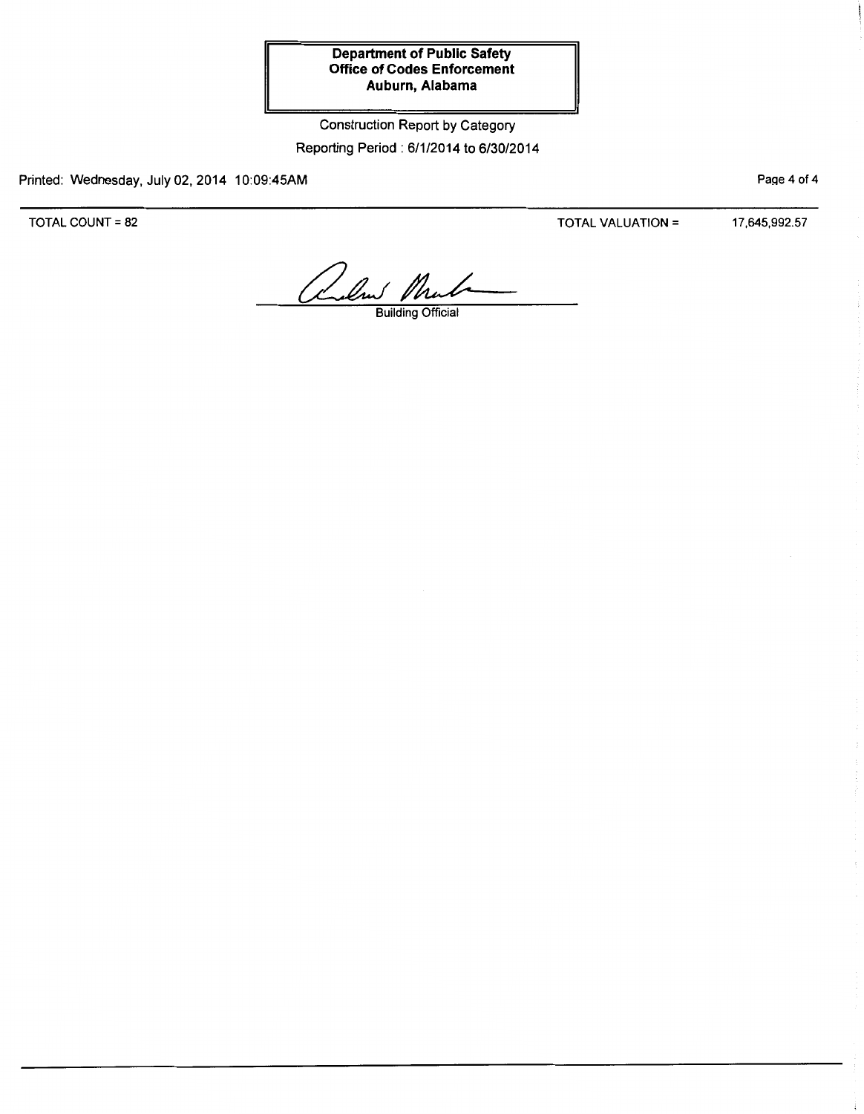Construction Report by Category Reporting Period: 6/1/2014 to 6/30/2014

Printed: Wednesday, July 02, 2014 10:09:45AM

TOTAL COUNT= 82

TOTAL VALUATION= 17,645,992.57

Page 4 of 4

alent Mula